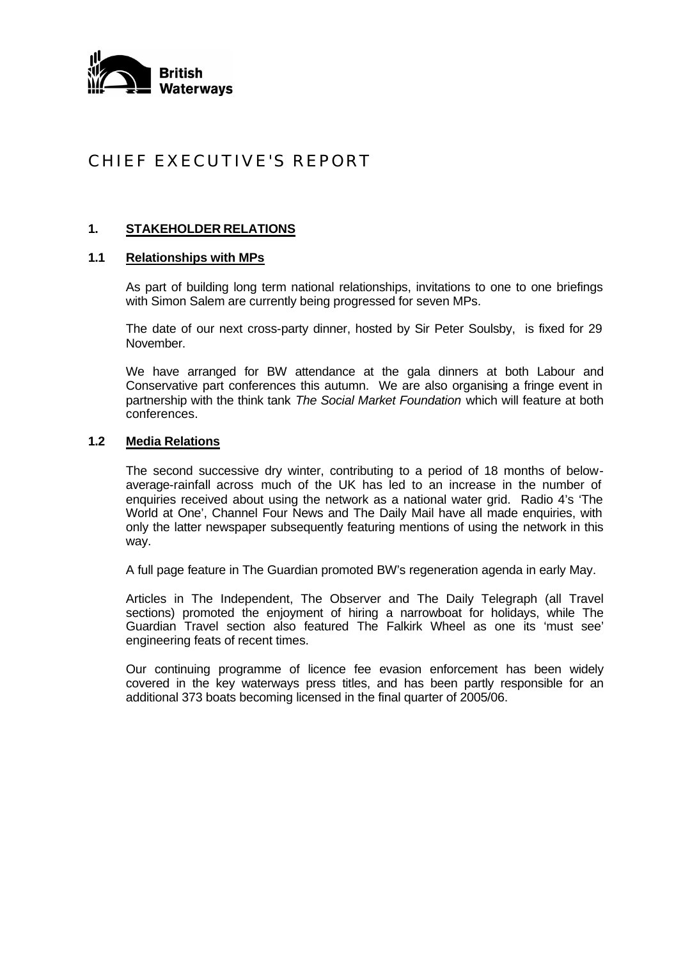

# CHIEF EXECUTIVE'S REPORT

# **1. STAKEHOLDER RELATIONS**

#### **1.1 Relationships with MPs**

As part of building long term national relationships, invitations to one to one briefings with Simon Salem are currently being progressed for seven MPs.

The date of our next cross-party dinner, hosted by Sir Peter Soulsby, is fixed for 29 November.

We have arranged for BW attendance at the gala dinners at both Labour and Conservative part conferences this autumn. We are also organising a fringe event in partnership with the think tank *The Social Market Foundation* which will feature at both conferences.

#### **1.2 Media Relations**

The second successive dry winter, contributing to a period of 18 months of belowaverage-rainfall across much of the UK has led to an increase in the number of enquiries received about using the network as a national water grid. Radio 4's 'The World at One', Channel Four News and The Daily Mail have all made enquiries, with only the latter newspaper subsequently featuring mentions of using the network in this way.

A full page feature in The Guardian promoted BW's regeneration agenda in early May.

Articles in The Independent, The Observer and The Daily Telegraph (all Travel sections) promoted the enjoyment of hiring a narrowboat for holidays, while The Guardian Travel section also featured The Falkirk Wheel as one its 'must see' engineering feats of recent times.

Our continuing programme of licence fee evasion enforcement has been widely covered in the key waterways press titles, and has been partly responsible for an additional 373 boats becoming licensed in the final quarter of 2005/06.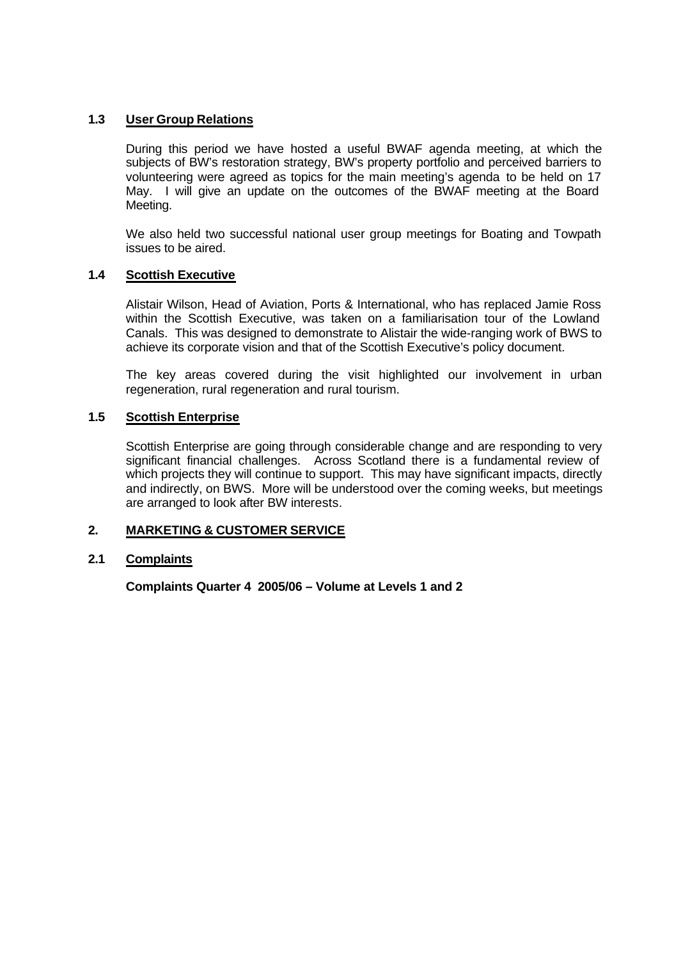# **1.3 User Group Relations**

During this period we have hosted a useful BWAF agenda meeting, at which the subjects of BW's restoration strategy, BW's property portfolio and perceived barriers to volunteering were agreed as topics for the main meeting's agenda to be held on 17 May. I will give an update on the outcomes of the BWAF meeting at the Board Meeting.

We also held two successful national user group meetings for Boating and Towpath issues to be aired.

#### **1.4 Scottish Executive**

Alistair Wilson, Head of Aviation, Ports & International, who has replaced Jamie Ross within the Scottish Executive, was taken on a familiarisation tour of the Lowland Canals. This was designed to demonstrate to Alistair the wide-ranging work of BWS to achieve its corporate vision and that of the Scottish Executive's policy document.

The key areas covered during the visit highlighted our involvement in urban regeneration, rural regeneration and rural tourism.

#### **1.5 Scottish Enterprise**

Scottish Enterprise are going through considerable change and are responding to very significant financial challenges. Across Scotland there is a fundamental review of which projects they will continue to support. This may have significant impacts, directly and indirectly, on BWS. More will be understood over the coming weeks, but meetings are arranged to look after BW interests.

# **2. MARKETING & CUSTOMER SERVICE**

#### **2.1 Complaints**

**Complaints Quarter 4 2005/06 – Volume at Levels 1 and 2**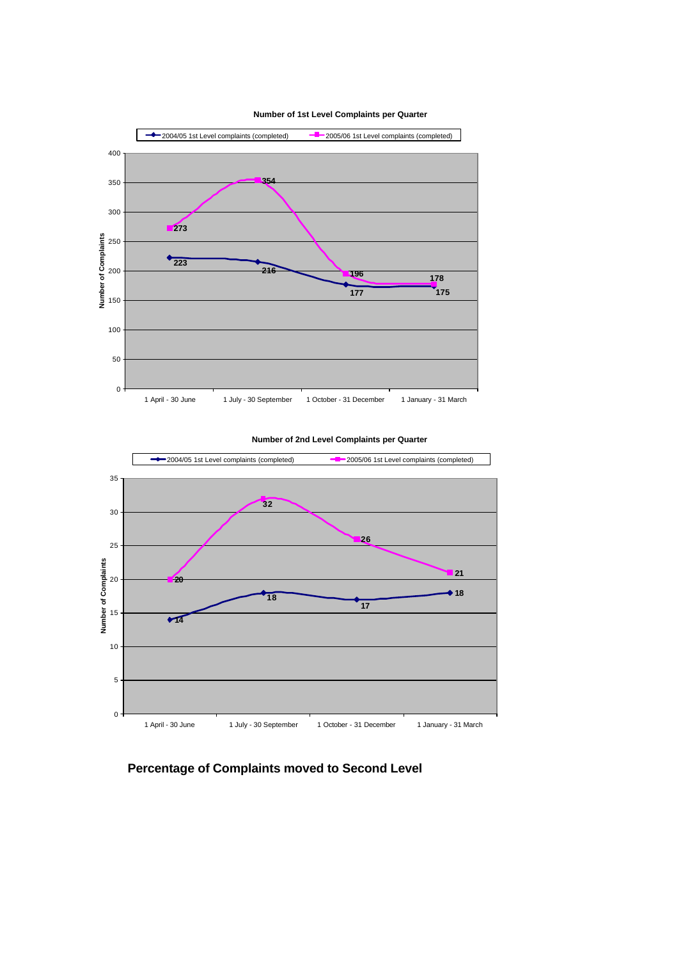

#### **Number of 1st Level Complaints per Quarter**



**Number of 2nd Level Complaints per Quarter**

# **Percentage of Complaints moved to Second Level**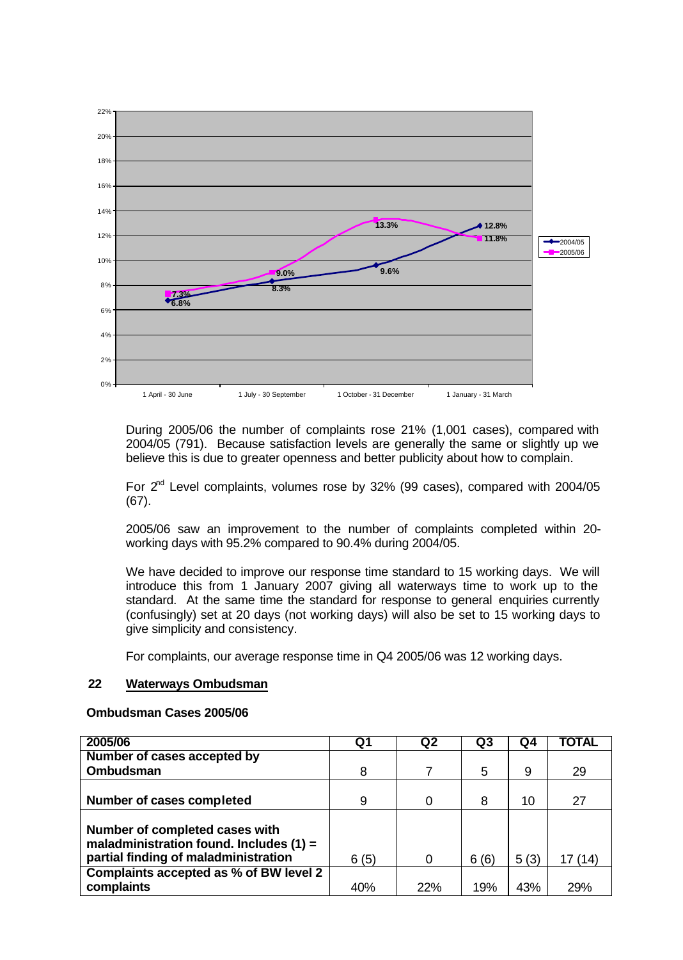

During 2005/06 the number of complaints rose 21% (1,001 cases), compared with 2004/05 (791). Because satisfaction levels are generally the same or slightly up we believe this is due to greater openness and better publicity about how to complain.

For  $2^{nd}$  Level complaints, volumes rose by 32% (99 cases), compared with 2004/05 (67).

2005/06 saw an improvement to the number of complaints completed within 20 working days with 95.2% compared to 90.4% during 2004/05.

We have decided to improve our response time standard to 15 working days. We will introduce this from 1 January 2007 giving all waterways time to work up to the standard. At the same time the standard for response to general enquiries currently (confusingly) set at 20 days (not working days) will also be set to 15 working days to give simplicity and consistency.

For complaints, our average response time in Q4 2005/06 was 12 working days.

# **22 Waterways Ombudsman**

#### **Ombudsman Cases 2005/06**

| 2005/06                                                                                                             |      | Q2       | Q3   | Q4   | TOTAL  |
|---------------------------------------------------------------------------------------------------------------------|------|----------|------|------|--------|
| Number of cases accepted by                                                                                         |      |          |      |      |        |
| Ombudsman                                                                                                           | 8    |          | 5    | 9    | 29     |
|                                                                                                                     |      |          |      |      |        |
| Number of cases completed                                                                                           | 9    |          | 8    | 10   | 27     |
| Number of completed cases with<br>maladministration found. Includes $(1)$ =<br>partial finding of maladministration | 6(5) | $\Omega$ | 6(6) | 5(3) | 17(14) |
| Complaints accepted as % of BW level 2<br>complaints                                                                | 40%  | 22%      | 19%  | 43%  | 29%    |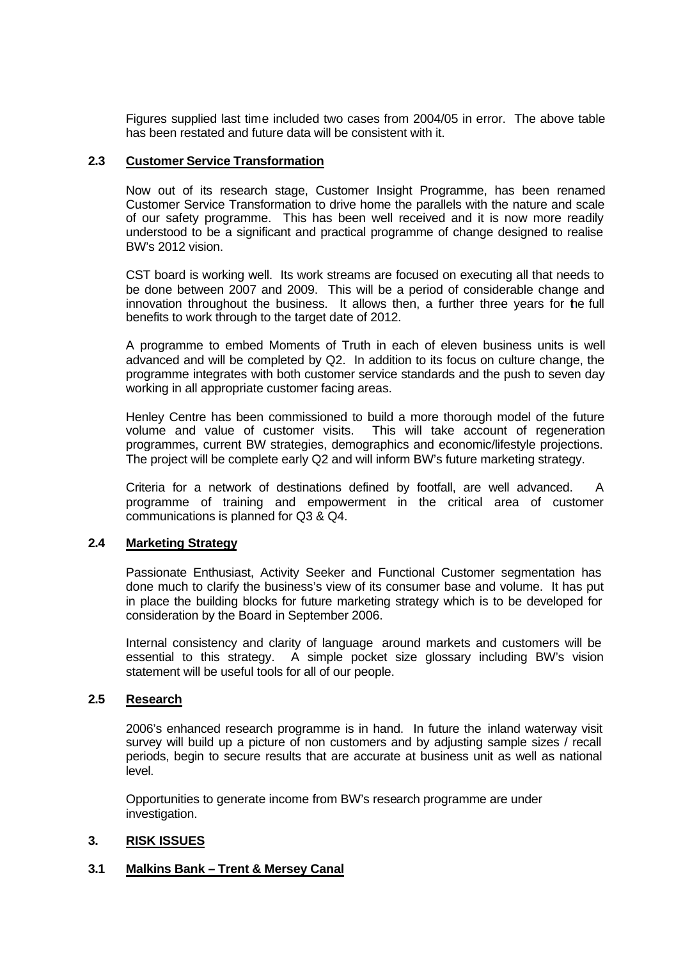Figures supplied last time included two cases from 2004/05 in error. The above table has been restated and future data will be consistent with it.

#### **2.3 Customer Service Transformation**

Now out of its research stage, Customer Insight Programme, has been renamed Customer Service Transformation to drive home the parallels with the nature and scale of our safety programme. This has been well received and it is now more readily understood to be a significant and practical programme of change designed to realise BW's 2012 vision.

CST board is working well. Its work streams are focused on executing all that needs to be done between 2007 and 2009. This will be a period of considerable change and innovation throughout the business. It allows then, a further three years for the full benefits to work through to the target date of 2012.

A programme to embed Moments of Truth in each of eleven business units is well advanced and will be completed by Q2. In addition to its focus on culture change, the programme integrates with both customer service standards and the push to seven day working in all appropriate customer facing areas.

Henley Centre has been commissioned to build a more thorough model of the future volume and value of customer visits. This will take account of regeneration programmes, current BW strategies, demographics and economic/lifestyle projections. The project will be complete early Q2 and will inform BW's future marketing strategy.

Criteria for a network of destinations defined by footfall, are well advanced. A programme of training and empowerment in the critical area of customer communications is planned for Q3 & Q4.

# **2.4 Marketing Strategy**

Passionate Enthusiast, Activity Seeker and Functional Customer segmentation has done much to clarify the business's view of its consumer base and volume. It has put in place the building blocks for future marketing strategy which is to be developed for consideration by the Board in September 2006.

Internal consistency and clarity of language around markets and customers will be essential to this strategy. A simple pocket size glossary including BW's vision statement will be useful tools for all of our people.

# **2.5 Research**

2006's enhanced research programme is in hand. In future the inland waterway visit survey will build up a picture of non customers and by adjusting sample sizes / recall periods, begin to secure results that are accurate at business unit as well as national level.

Opportunities to generate income from BW's research programme are under investigation.

# **3. RISK ISSUES**

# **3.1 Malkins Bank – Trent & Mersey Canal**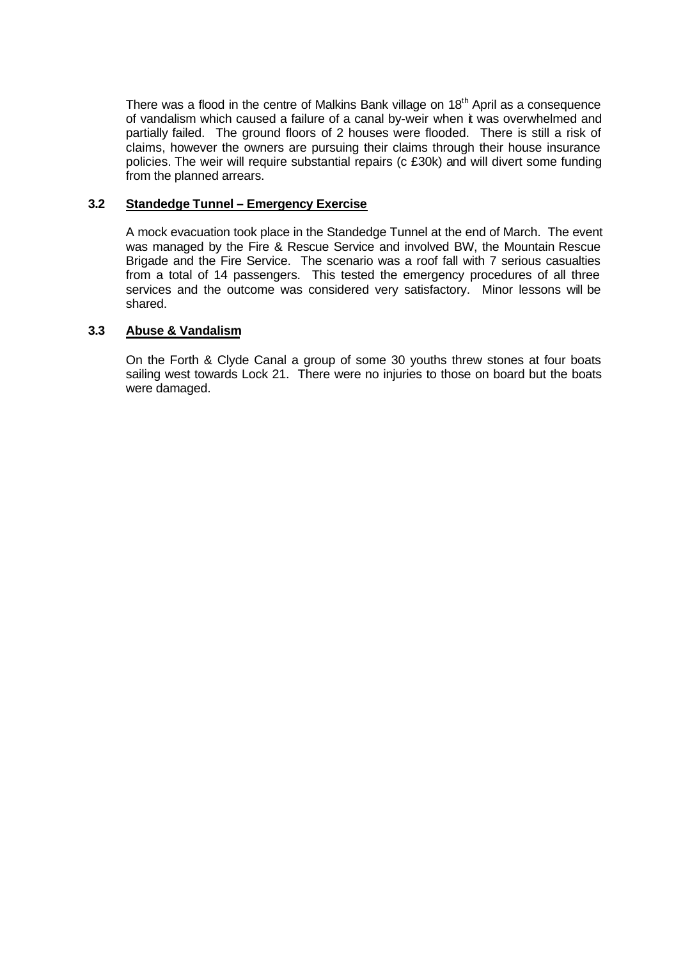There was a flood in the centre of Malkins Bank village on 18<sup>th</sup> April as a consequence of vandalism which caused a failure of a canal by-weir when it was overwhelmed and partially failed. The ground floors of 2 houses were flooded. There is still a risk of claims, however the owners are pursuing their claims through their house insurance policies. The weir will require substantial repairs (c £30k) and will divert some funding from the planned arrears.

## **3.2 Standedge Tunnel – Emergency Exercise**

A mock evacuation took place in the Standedge Tunnel at the end of March. The event was managed by the Fire & Rescue Service and involved BW, the Mountain Rescue Brigade and the Fire Service. The scenario was a roof fall with 7 serious casualties from a total of 14 passengers. This tested the emergency procedures of all three services and the outcome was considered very satisfactory. Minor lessons will be shared.

#### **3.3 Abuse & Vandalism**

On the Forth & Clyde Canal a group of some 30 youths threw stones at four boats sailing west towards Lock 21. There were no injuries to those on board but the boats were damaged.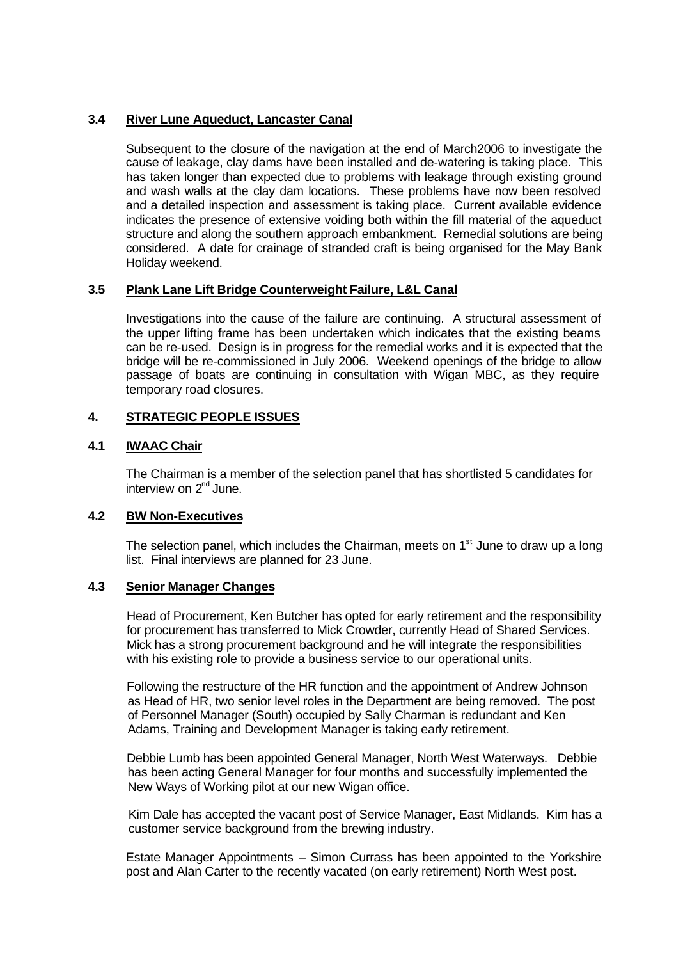# **3.4 River Lune Aqueduct, Lancaster Canal**

Subsequent to the closure of the navigation at the end of March2006 to investigate the cause of leakage, clay dams have been installed and de-watering is taking place. This has taken longer than expected due to problems with leakage through existing ground and wash walls at the clay dam locations. These problems have now been resolved and a detailed inspection and assessment is taking place. Current available evidence indicates the presence of extensive voiding both within the fill material of the aqueduct structure and along the southern approach embankment. Remedial solutions are being considered. A date for crainage of stranded craft is being organised for the May Bank Holiday weekend.

# **3.5 Plank Lane Lift Bridge Counterweight Failure, L&L Canal**

Investigations into the cause of the failure are continuing. A structural assessment of the upper lifting frame has been undertaken which indicates that the existing beams can be re-used. Design is in progress for the remedial works and it is expected that the bridge will be re-commissioned in July 2006. Weekend openings of the bridge to allow passage of boats are continuing in consultation with Wigan MBC, as they require temporary road closures.

# **4. STRATEGIC PEOPLE ISSUES**

# **4.1 IWAAC Chair**

The Chairman is a member of the selection panel that has shortlisted 5 candidates for interview on  $2<sup>nd</sup>$  June.

# **4.2 BW Non-Executives**

The selection panel, which includes the Chairman, meets on  $1<sup>st</sup>$  June to draw up a long list. Final interviews are planned for 23 June.

# **4.3 Senior Manager Changes**

Head of Procurement, Ken Butcher has opted for early retirement and the responsibility for procurement has transferred to Mick Crowder, currently Head of Shared Services. Mick has a strong procurement background and he will integrate the responsibilities with his existing role to provide a business service to our operational units.

Following the restructure of the HR function and the appointment of Andrew Johnson as Head of HR, two senior level roles in the Department are being removed. The post of Personnel Manager (South) occupied by Sally Charman is redundant and Ken Adams, Training and Development Manager is taking early retirement.

Debbie Lumb has been appointed General Manager, North West Waterways. Debbie has been acting General Manager for four months and successfully implemented the New Ways of Working pilot at our new Wigan office.

Kim Dale has accepted the vacant post of Service Manager, East Midlands. Kim has a customer service background from the brewing industry.

Estate Manager Appointments – Simon Currass has been appointed to the Yorkshire post and Alan Carter to the recently vacated (on early retirement) North West post.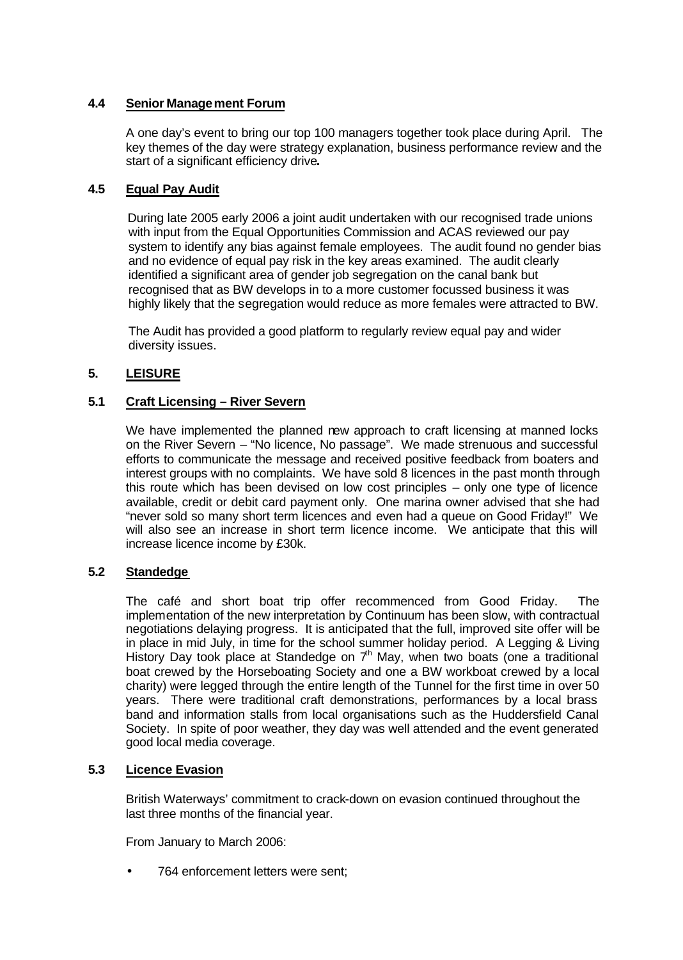# **4.4 Senior Management Forum**

A one day's event to bring our top 100 managers together took place during April. The key themes of the day were strategy explanation, business performance review and the start of a significant efficiency drive**.**

# **4.5 Equal Pay Audit**

During late 2005 early 2006 a joint audit undertaken with our recognised trade unions with input from the Equal Opportunities Commission and ACAS reviewed our pay system to identify any bias against female employees. The audit found no gender bias and no evidence of equal pay risk in the key areas examined. The audit clearly identified a significant area of gender job segregation on the canal bank but recognised that as BW develops in to a more customer focussed business it was highly likely that the segregation would reduce as more females were attracted to BW.

The Audit has provided a good platform to regularly review equal pay and wider diversity issues.

# **5. LEISURE**

# **5.1 Craft Licensing – River Severn**

We have implemented the planned new approach to craft licensing at manned locks on the River Severn – "No licence, No passage". We made strenuous and successful efforts to communicate the message and received positive feedback from boaters and interest groups with no complaints. We have sold 8 licences in the past month through this route which has been devised on low cost principles – only one type of licence available, credit or debit card payment only. One marina owner advised that she had "never sold so many short term licences and even had a queue on Good Friday!" We will also see an increase in short term licence income. We anticipate that this will increase licence income by £30k.

# **5.2 Standedge**

The café and short boat trip offer recommenced from Good Friday. The implementation of the new interpretation by Continuum has been slow, with contractual negotiations delaying progress. It is anticipated that the full, improved site offer will be in place in mid July, in time for the school summer holiday period. A Legging & Living History Day took place at Standedge on  $7<sup>th</sup>$  May, when two boats (one a traditional boat crewed by the Horseboating Society and one a BW workboat crewed by a local charity) were legged through the entire length of the Tunnel for the first time in over 50 years. There were traditional craft demonstrations, performances by a local brass band and information stalls from local organisations such as the Huddersfield Canal Society. In spite of poor weather, they day was well attended and the event generated good local media coverage.

# **5.3 Licence Evasion**

British Waterways' commitment to crack-down on evasion continued throughout the last three months of the financial year.

From January to March 2006:

764 enforcement letters were sent: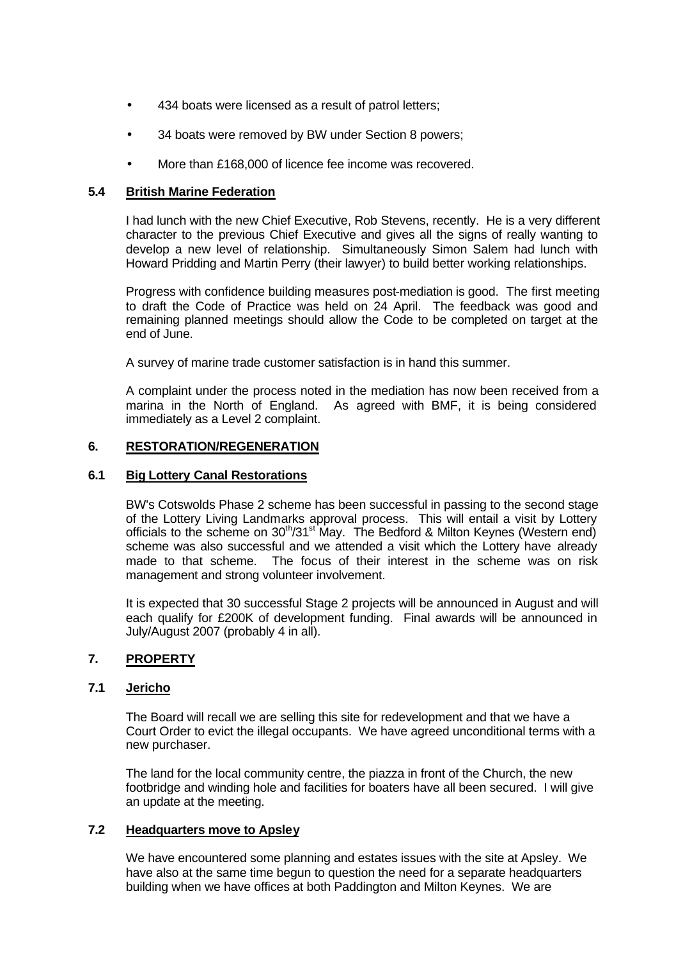- 434 boats were licensed as a result of patrol letters;
- 34 boats were removed by BW under Section 8 powers;
- More than £168,000 of licence fee income was recovered.

# **5.4 British Marine Federation**

I had lunch with the new Chief Executive, Rob Stevens, recently. He is a very different character to the previous Chief Executive and gives all the signs of really wanting to develop a new level of relationship. Simultaneously Simon Salem had lunch with Howard Pridding and Martin Perry (their lawyer) to build better working relationships.

Progress with confidence building measures post-mediation is good. The first meeting to draft the Code of Practice was held on 24 April. The feedback was good and remaining planned meetings should allow the Code to be completed on target at the end of June.

A survey of marine trade customer satisfaction is in hand this summer.

A complaint under the process noted in the mediation has now been received from a marina in the North of England. As agreed with BMF, it is being considered immediately as a Level 2 complaint.

# **6. RESTORATION/REGENERATION**

#### **6.1 Big Lottery Canal Restorations**

BW's Cotswolds Phase 2 scheme has been successful in passing to the second stage of the Lottery Living Landmarks approval process. This will entail a visit by Lottery officials to the scheme on 30<sup>th</sup>/31<sup>st</sup> May. The Bedford & Milton Keynes (Western end) scheme was also successful and we attended a visit which the Lottery have already made to that scheme. The focus of their interest in the scheme was on risk management and strong volunteer involvement.

It is expected that 30 successful Stage 2 projects will be announced in August and will each qualify for £200K of development funding. Final awards will be announced in July/August 2007 (probably 4 in all).

# **7. PROPERTY**

# **7.1 Jericho**

The Board will recall we are selling this site for redevelopment and that we have a Court Order to evict the illegal occupants. We have agreed unconditional terms with a new purchaser.

The land for the local community centre, the piazza in front of the Church, the new footbridge and winding hole and facilities for boaters have all been secured. I will give an update at the meeting.

#### **7.2 Headquarters move to Apsley**

We have encountered some planning and estates issues with the site at Apsley. We have also at the same time begun to question the need for a separate headquarters building when we have offices at both Paddington and Milton Keynes. We are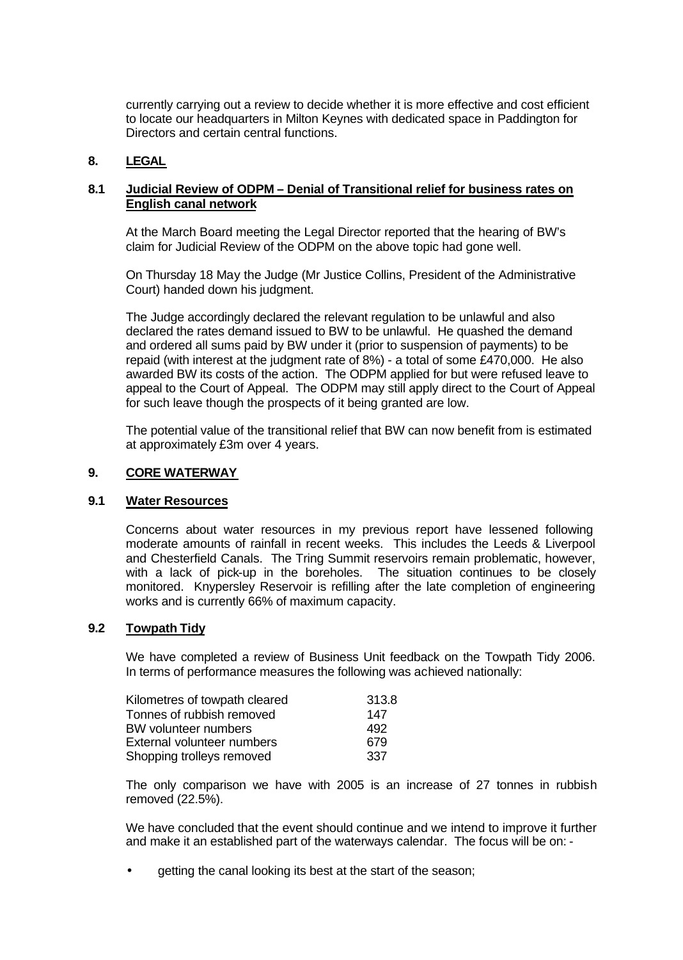currently carrying out a review to decide whether it is more effective and cost efficient to locate our headquarters in Milton Keynes with dedicated space in Paddington for Directors and certain central functions.

# **8. LEGAL**

#### **8.1 Judicial Review of ODPM – Denial of Transitional relief for business rates on English canal network**

At the March Board meeting the Legal Director reported that the hearing of BW's claim for Judicial Review of the ODPM on the above topic had gone well.

On Thursday 18 May the Judge (Mr Justice Collins, President of the Administrative Court) handed down his judgment.

The Judge accordingly declared the relevant regulation to be unlawful and also declared the rates demand issued to BW to be unlawful. He quashed the demand and ordered all sums paid by BW under it (prior to suspension of payments) to be repaid (with interest at the judgment rate of 8%) - a total of some £470,000. He also awarded BW its costs of the action. The ODPM applied for but were refused leave to appeal to the Court of Appeal. The ODPM may still apply direct to the Court of Appeal for such leave though the prospects of it being granted are low.

The potential value of the transitional relief that BW can now benefit from is estimated at approximately £3m over 4 years.

#### **9. CORE WATERWAY**

#### **9.1 Water Resources**

Concerns about water resources in my previous report have lessened following moderate amounts of rainfall in recent weeks. This includes the Leeds & Liverpool and Chesterfield Canals. The Tring Summit reservoirs remain problematic, however, with a lack of pick-up in the boreholes. The situation continues to be closely monitored. Knypersley Reservoir is refilling after the late completion of engineering works and is currently 66% of maximum capacity.

#### **9.2 Towpath Tidy**

We have completed a review of Business Unit feedback on the Towpath Tidy 2006. In terms of performance measures the following was achieved nationally:

| Kilometres of towpath cleared | 313.8 |
|-------------------------------|-------|
| Tonnes of rubbish removed     | 147   |
| BW volunteer numbers          | 492   |
| External volunteer numbers    | 679   |
| Shopping trolleys removed     | 337   |

The only comparison we have with 2005 is an increase of 27 tonnes in rubbish removed (22.5%).

We have concluded that the event should continue and we intend to improve it further and make it an established part of the waterways calendar. The focus will be on: -

getting the canal looking its best at the start of the season;